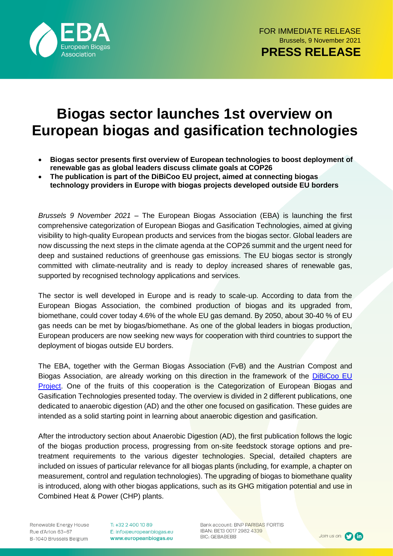

# **Biogas sector launches 1st overview on European biogas and gasification technologies**

- **Biogas sector presents first overview of European technologies to boost deployment of renewable gas as global leaders discuss climate goals at COP26**
- **The publication is part of the DiBiCoo EU project, aimed at connecting biogas technology providers in Europe with biogas projects developed outside EU borders**

*Brussels 9 November 2021* – The European Biogas Association (EBA) is launching the first comprehensive categorization of European Biogas and Gasification Technologies, aimed at giving visibility to high-quality European products and services from the biogas sector. Global leaders are now discussing the next steps in the climate agenda at the COP26 summit and the urgent need for deep and sustained reductions of greenhouse gas emissions. The EU biogas sector is strongly committed with climate-neutrality and is ready to deploy increased shares of renewable gas, supported by recognised technology applications and services.

The sector is well developed in Europe and is ready to scale-up. According to data from the European Biogas Association, the combined production of biogas and its upgraded from, biomethane, could cover today 4.6% of the whole EU gas demand. By 2050, about 30-40 % of EU gas needs can be met by biogas/biomethane. As one of the global leaders in biogas production, European producers are now seeking new ways for cooperation with third countries to support the deployment of biogas outside EU borders.

The EBA, together with the German Biogas Association (FvB) and the Austrian Compost and Biogas Association, are already working on this direction in the framework of the [DiBiCoo EU](https://dibicoo.org/)  [Project.](https://dibicoo.org/) One of the fruits of this cooperation is the Categorization of European Biogas and Gasification Technologies presented today. The overview is divided in 2 different publications, one dedicated to anaerobic digestion (AD) and the other one focused on gasification. These guides are intended as a solid starting point in learning about anaerobic digestion and gasification.

After the introductory section about Anaerobic Digestion (AD), the first publication follows the logic of the biogas production process, progressing from on-site feedstock storage options and pretreatment requirements to the various digester technologies. Special, detailed chapters are included on issues of particular relevance for all biogas plants (including, for example, a chapter on measurement, control and regulation technologies). The upgrading of biogas to biomethane quality is introduced, along with other biogas applications, such as its GHG mitigation potential and use in Combined Heat & Power (CHP) plants.

Renewable Energy House Rue d'Arlon 63-67 B-1040 Brussels Belgium T: +32 2 400 10 89 E: info@europeanbiogas.eu www.europeanbiogas.eu

Bank account: BNP PARIBAS FORTIS IBAN: BE13 0017 2982 4339 **BIC: GEBABEBB**